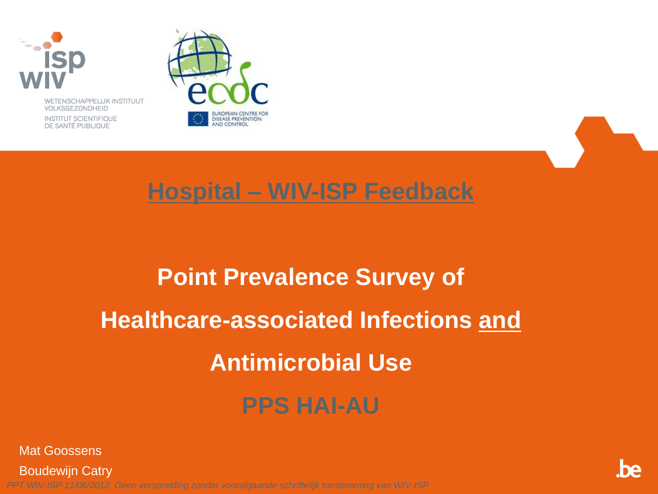

WETENSCHAPPELIJK INSTITUUT VOLKSGEZONDHEID

INSTITUT SCIENTIFIQUE DE SANTÉ PUBLIQUE





#### **Hospital – WIV-ISP Feedback**

### **Point Prevalence Survey of Healthcare-associated Infections and Antimicrobial Use PPS HAI-AU**

Mat Goossens

Boudewijn Catry

*PPT WIV-ISP 11/06/2012. Geen verspreiding zonder voorafgaande schriftelijk toestemming van WIV-ISP*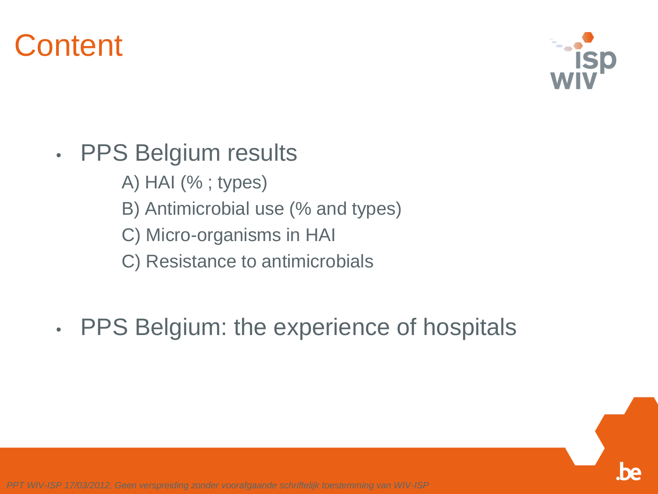

- PPS Belgium results
	- A) HAI (% ; types)
	- B) Antimicrobial use (% and types)
	- C) Micro-organisms in HAI
	- C) Resistance to antimicrobials
- PPS Belgium: the experience of hospitals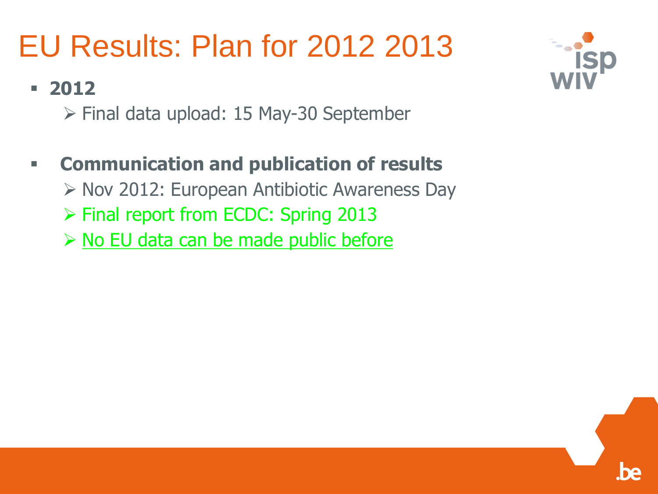### EU Results: Plan for 2012 2013

#### **2012**

 $\triangleright$  Final data upload: 15 May-30 September

#### **Communication and publication of results**

 $\triangleright$  Nov 2012: European Antibiotic Awareness Day

- Final report from ECDC: Spring 2013
- $\triangleright$  No EU data can be made public before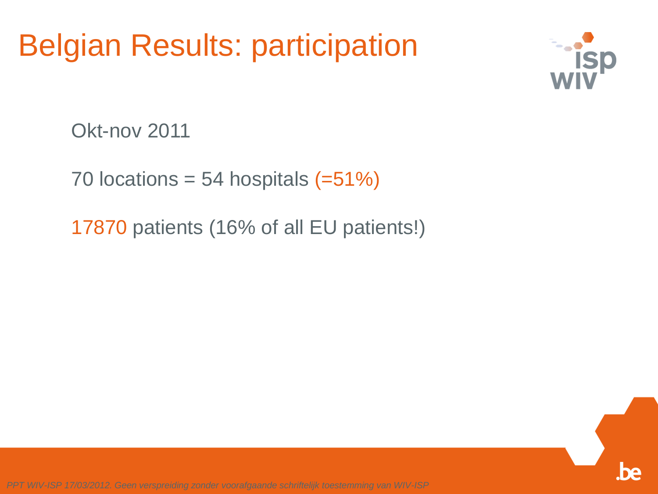#### Belgian Results: participation



Okt-nov 2011

70 locations = 54 hospitals  $(=51%)$ 

17870 patients (16% of all EU patients!)

*PPT WIV-ISP 17/03/2012. Geen verspreiding zonder voorafgaande schriftelijk toestemming van WIV-ISP*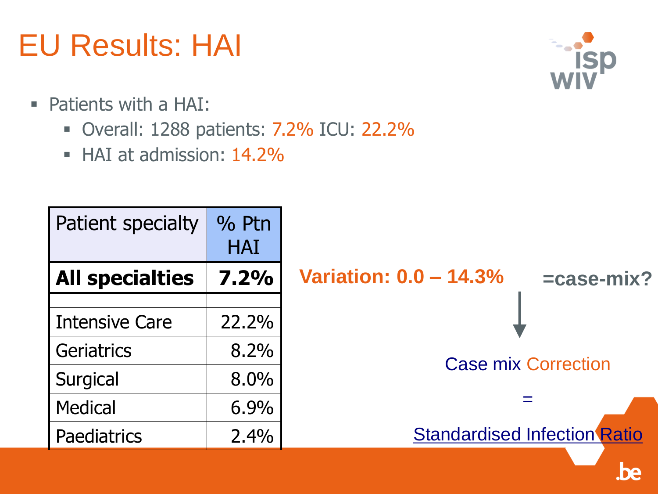### EU Results: HAI

- Patients with a HAI:
	- Overall: 1288 patients: 7.2% ICU: 22.2%
	- HAI at admission: 14.2%

| <b>Patient specialty</b> | % Ptn<br><b>HAI</b> |                               |                                     |
|--------------------------|---------------------|-------------------------------|-------------------------------------|
| <b>All specialties</b>   | 7.2%                | <b>Variation: 0.0 - 14.3%</b> | =case-mix?                          |
|                          |                     |                               |                                     |
| <b>Intensive Care</b>    | 22.2%               |                               |                                     |
| Geriatrics               | 8.2%                | <b>Case mix Correction</b>    |                                     |
| Surgical                 | $8.0\%$             |                               |                                     |
| <b>Medical</b>           | 6.9%                |                               |                                     |
| <b>Paediatrics</b>       | 2.4%                |                               | <b>Standardised Infection Ratio</b> |
|                          |                     |                               |                                     |



**De**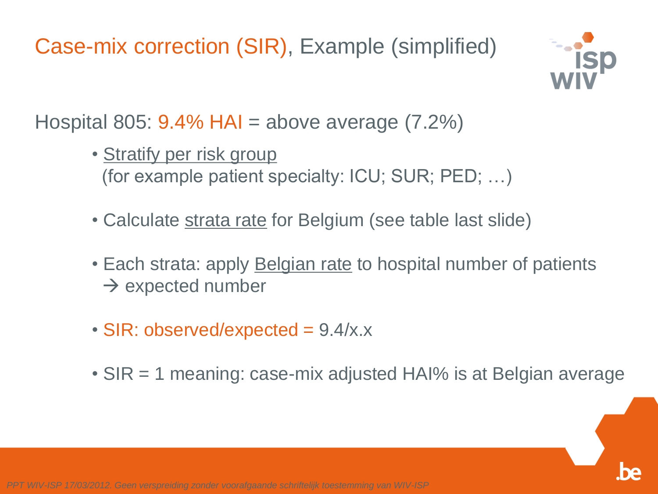Case-mix correction (SIR), Example (simplified)



Hospital 805:  $9.4\%$  HAI = above average (7.2%)

- Stratify per risk group (for example patient specialty: ICU; SUR; PED; …)
- Calculate strata rate for Belgium (see table last slide)
- Each strata: apply **Belgian rate** to hospital number of patients  $\rightarrow$  expected number
- SIR: observed/expected = 9.4/x.x
- SIR = 1 meaning: case-mix adjusted HAI% is at Belgian average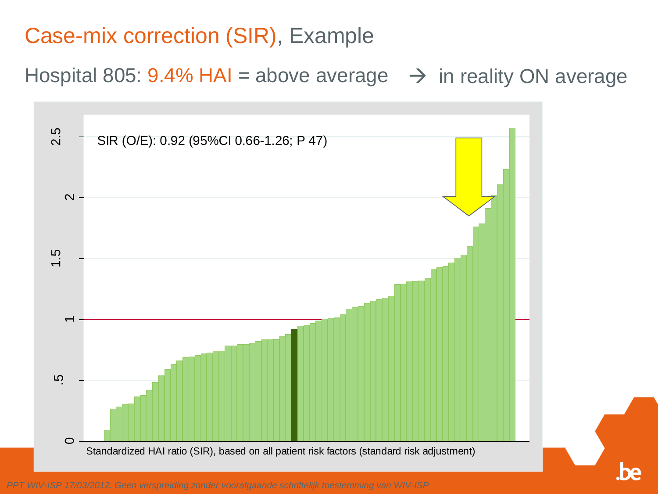#### Case-mix correction (SIR), Example

Hospital 805: 9.4% HAI = above average  $\rightarrow$  in reality ON average

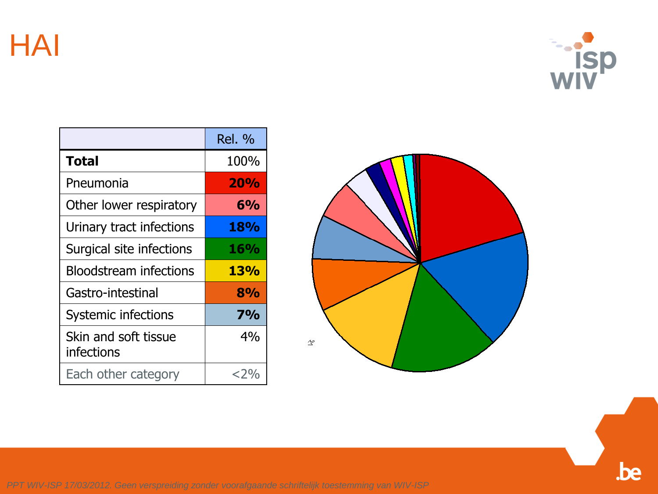HAI



|                                    | <b>Rel. %</b> |
|------------------------------------|---------------|
| <b>Total</b>                       | 100%          |
| Pneumonia                          | <b>20%</b>    |
| Other lower respiratory            | 6%            |
| Urinary tract infections           | <b>18%</b>    |
| Surgical site infections           | <b>16%</b>    |
| <b>Bloodstream infections</b>      | 13%           |
| Gastro-intestinal                  | 8%            |
| Systemic infections                | <b>7%</b>     |
| Skin and soft tissue<br>infections | 4%            |
| Each other category                | ${<}$ 2%      |



*PPT WIV-ISP 17/03/2012. Geen verspreiding zonder voorafgaande schriftelijk toestemming van WIV-ISP*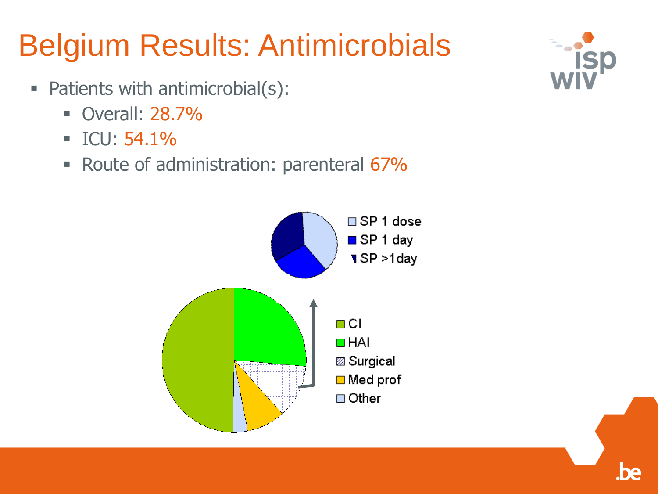### Belgium Results: Antimicrobials

- Patients with antimicrobial(s):
	- Overall: 28.7%
	- $ICU: 54.1\%$
	- Route of administration: parenteral 67%



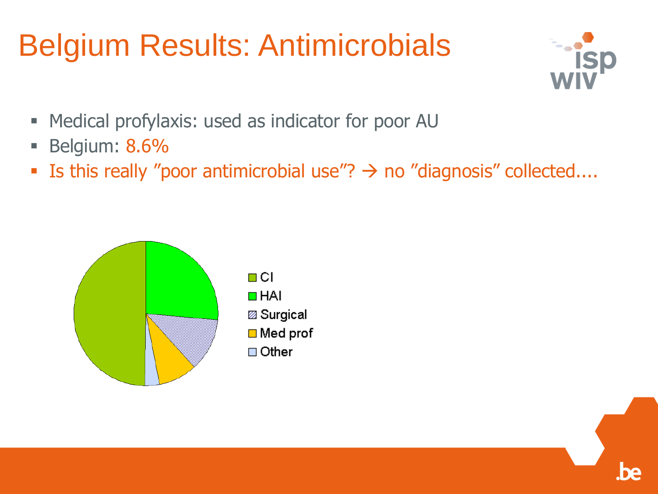### Belgium Results: Antimicrobials



- **Medical profylaxis: used as indicator for poor AU**
- **Belgium: 8.6%**
- Is this really "poor antimicrobial use"?  $\rightarrow$  no "diagnosis" collected....

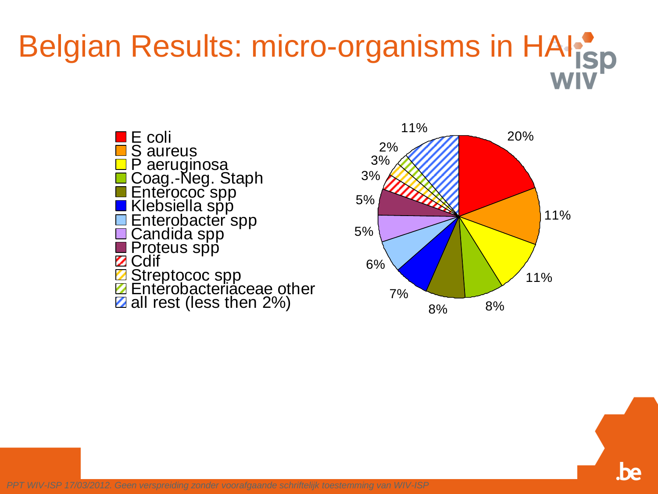# Belgian Results: micro-organisms in HAI<sup>P</sup>ISD





*PPT WIV-ISP 17/03/2012. Geen verspreiding zonder voorafgaande schriftelijk toestemming van WIV-ISP*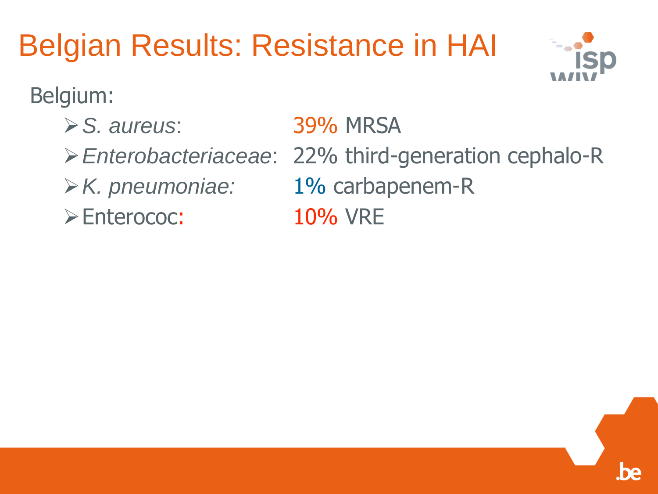## Belgian Results: Resistance in HAI



#### Belgium:

- *S. aureus*: 39% MRSA
- 
- 
- Enterococ: 10% VRE
- 
- *Enterobacteriaceae*: 22% third-generation cephalo-R
- *K. pneumoniae:* 1% carbapenem-R
	-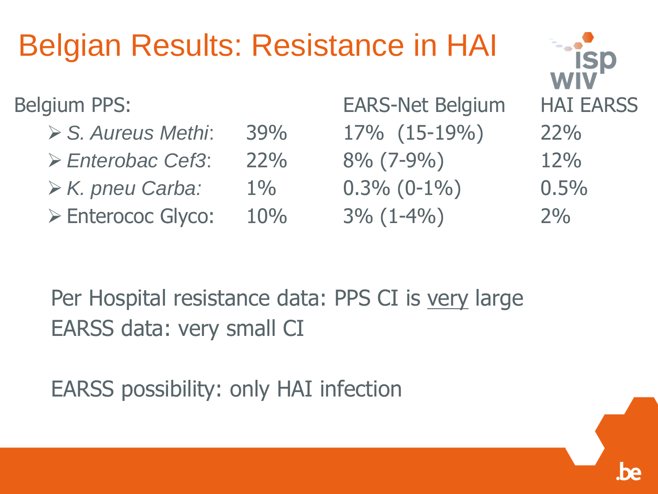### Belgian Results: Resistance in HAI

- *S. Aureus Methi*: 39% 17% (15-19%) 22%
- *Enterobac Cef3*: 22% 8% (7-9%) 12%
- *K. pneu Carba:* 1% 0.3% (0-1%) 0.5%
- $\triangleright$  Enterococ Glyco:  $10\%$  3% (1-4%) 2%

Belgium PPS: EARS-Net Belgium HAI EARSS

Per Hospital resistance data: PPS CI is very large EARSS data: very small CI

EARSS possibility: only HAI infection

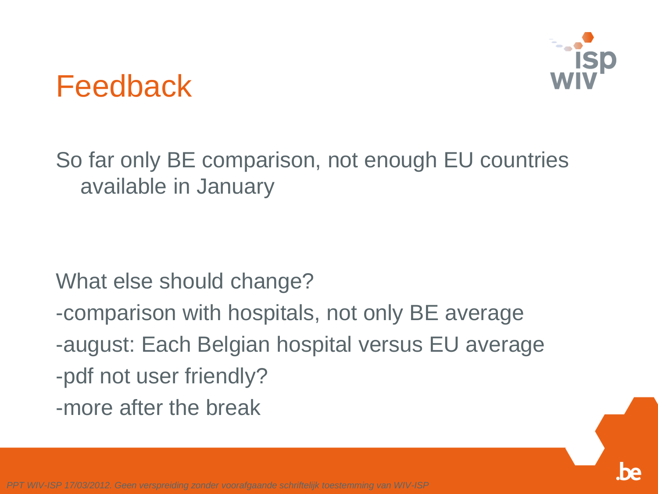

#### Feedback

So far only BE comparison, not enough EU countries available in January

What else should change?

- -comparison with hospitals, not only BE average
- -august: Each Belgian hospital versus EU average
- -pdf not user friendly?
- -more after the break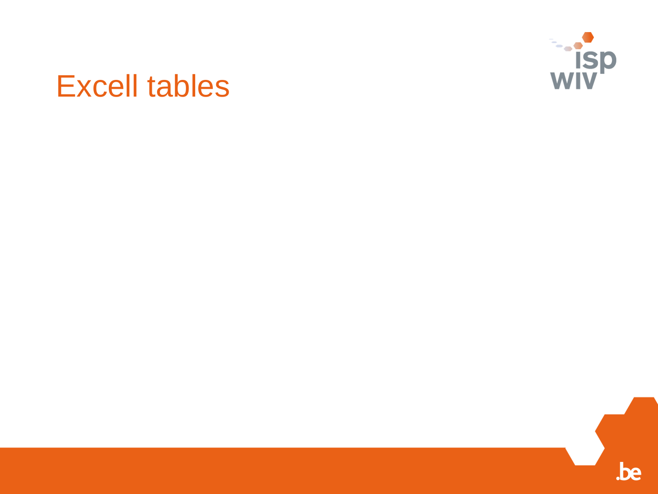

#### Excell tables

.be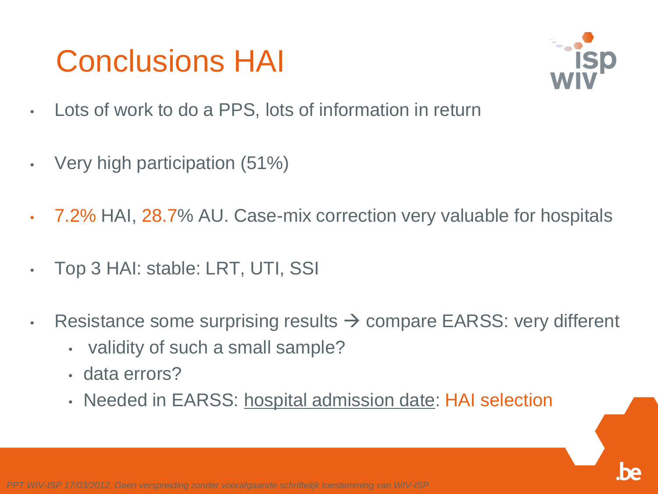#### Conclusions HAI



- Lots of work to do a PPS, lots of information in return
- Very high participation (51%)
- 7.2% HAI, 28.7% AU. Case-mix correction very valuable for hospitals
- Top 3 HAI: stable: LRT, UTI, SSI
- Resistance some surprising results  $\rightarrow$  compare EARSS: very different
	- validity of such a small sample?
	- data errors?
	- Needed in EARSS: hospital admission date: HAI selection